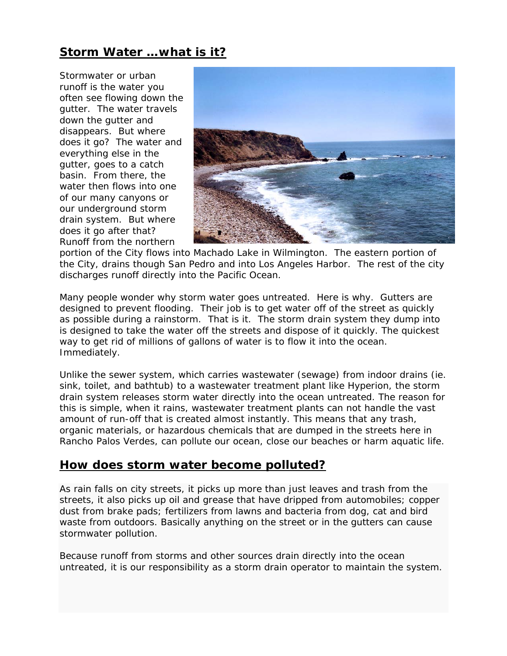# *Storm Water …what is it?*

Stormwater or urban runoff is the water you often see flowing down the gutter. The water travels down the gutter and disappears. But where does it go? The water and everything else in the gutter, goes to a catch basin. From there, the water then flows into one of our many canyons or our underground storm drain system. But where does it go after that? Runoff from the northern



portion of the City flows into Machado Lake in Wilmington. The eastern portion of the City, drains though San Pedro and into Los Angeles Harbor. The rest of the city discharges runoff directly into the Pacific Ocean.

Many people wonder why storm water goes untreated. Here is why. Gutters are designed to prevent flooding. Their job is to get water off of the street as quickly as possible during a rainstorm. That is it. The storm drain system they dump into is designed to take the water off the streets and dispose of it quickly. The quickest way to get rid of millions of gallons of water is to flow it into the ocean. Immediately.

Unlike the sewer system, which carries wastewater (sewage) from indoor drains (ie. sink, toilet, and bathtub) to a wastewater treatment plant like Hyperion, the storm drain system releases storm water directly into the ocean untreated. The reason for this is simple, when it rains, wastewater treatment plants can not handle the vast amount of run-off that is created almost instantly. This means that any trash, organic materials, or hazardous chemicals that are dumped in the streets here in Rancho Palos Verdes, can pollute our ocean, close our beaches or harm aquatic life.

### *How does storm water become polluted?*

As rain falls on city streets, it picks up more than just leaves and trash from the streets, it also picks up oil and grease that have dripped from automobiles; copper dust from brake pads; fertilizers from lawns and bacteria from dog, cat and bird waste from outdoors. Basically anything on the street or in the gutters can cause stormwater pollution.

Because runoff from storms and other sources drain directly into the ocean untreated, it is our responsibility as a storm drain operator to maintain the system.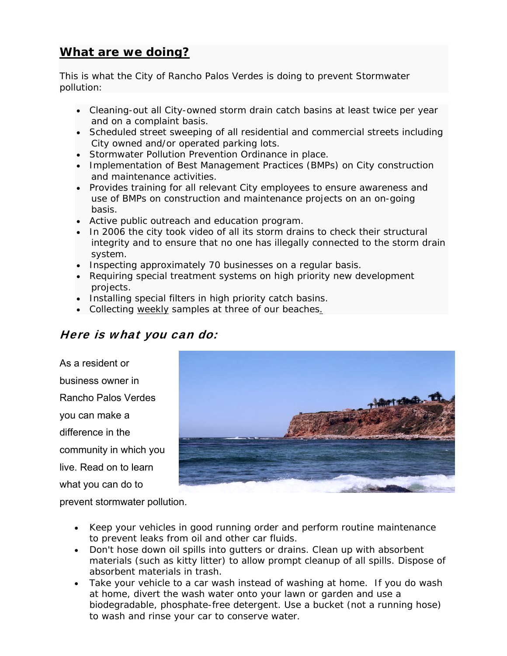# *What are we doing?*

This is what the City of Rancho Palos Verdes is doing to prevent Stormwater pollution:

- Cleaning-out all City-owned storm drain catch basins at least twice per year and on a complaint basis.
- Scheduled street sweeping of all residential and commercial streets including City owned and/or operated parking lots.
- Stormwater Pollution Prevention Ordinance in place.
- Implementation of Best Management Practices (BMPs) on City construction and maintenance activities.
- Provides training for all relevant City employees to ensure awareness and use of BMPs on construction and maintenance projects on an on-going basis.
- Active public outreach and education program.
- In 2006 the city took video of all its storm drains to check their structural integrity and to ensure that no one has illegally connected to the storm drain system.
- Inspecting approximately 70 businesses on a regular basis.
- Requiring special treatment systems on high priority new development projects.
- Installing special filters in high priority catch basins.
- Collecting weekly samples at three of our beaches.

## Here is what you can do:

As a resident or business owner in Rancho Palos Verdes you can make a difference in the community in which you live. Read on to learn what you can do to



prevent stormwater pollution.

- Keep your vehicles in good running order and perform routine maintenance to prevent leaks from oil and other car fluids.
- Don't hose down oil spills into gutters or drains. Clean up with absorbent materials (such as kitty litter) to allow prompt cleanup of all spills. Dispose of absorbent materials in trash.
- Take your vehicle to a car wash instead of washing at home. If you do wash at home, divert the wash water onto your lawn or garden and use a biodegradable, phosphate-free detergent. Use a bucket (not a running hose) to wash and rinse your car to conserve water.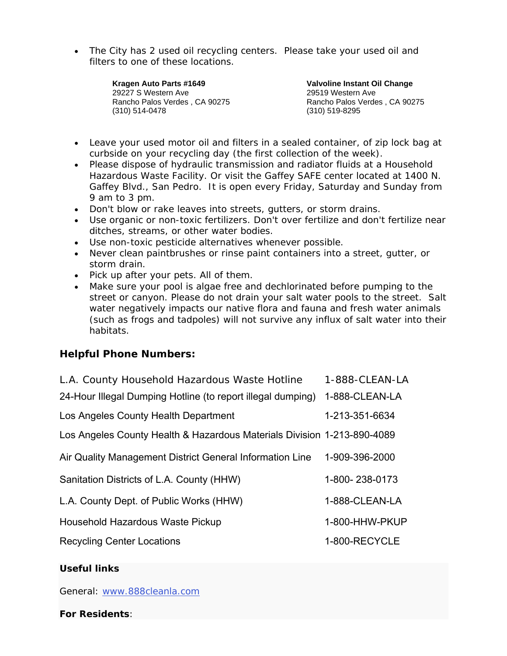• The City has 2 used oil recycling centers. Please take your used oil and filters to one of these locations.

> **Kragen Auto Parts #1649**  29227 S Western Ave Rancho Palos Verdes , CA 90275 (310) 514-0478

**Valvoline Instant Oil Change**  29519 Western Ave Rancho Palos Verdes , CA 90275 (310) 519-8295

- Leave your used motor oil and filters in a sealed container, of zip lock bag at curbside on your recycling day (the first collection of the week).
- Please dispose of hydraulic transmission and radiator fluids at a Household Hazardous Waste Facility. Or visit the Gaffey SAFE center located at 1400 N. Gaffey Blvd., San Pedro. It is open every Friday, Saturday and Sunday from 9 am to 3 pm.
- Don't blow or rake leaves into streets, gutters, or storm drains.
- Use organic or non-toxic fertilizers. Don't over fertilize and don't fertilize near ditches, streams, or other water bodies.
- Use non-toxic pesticide alternatives whenever possible.
- Never clean paintbrushes or rinse paint containers into a street, gutter, or storm drain.
- Pick up after your pets. All of them.
- Make sure your pool is algae free and dechlorinated before pumping to the street or canyon. Please do not drain your salt water pools to the street. Salt water negatively impacts our native flora and fauna and fresh water animals (such as frogs and tadpoles) will not survive any influx of salt water into their habitats.

### **Helpful Phone Numbers:**

| L.A. County Household Hazardous Waste Hotline                           | 1-888-CLEAN-LA |
|-------------------------------------------------------------------------|----------------|
| 24-Hour Illegal Dumping Hotline (to report illegal dumping)             | 1-888-CLEAN-LA |
| Los Angeles County Health Department                                    | 1-213-351-6634 |
| Los Angeles County Health & Hazardous Materials Division 1-213-890-4089 |                |
| Air Quality Management District General Information Line                | 1-909-396-2000 |
| Sanitation Districts of L.A. County (HHW)                               | 1-800-238-0173 |
| L.A. County Dept. of Public Works (HHW)                                 | 1-888-CLEAN-LA |
| Household Hazardous Waste Pickup                                        | 1-800-HHW-PKUP |
| <b>Recycling Center Locations</b>                                       | 1-800-RECYCLE  |

### *Useful links*

General: [www.888cleanla.com](http://www.888cleanla.com/)

**For Residents**: